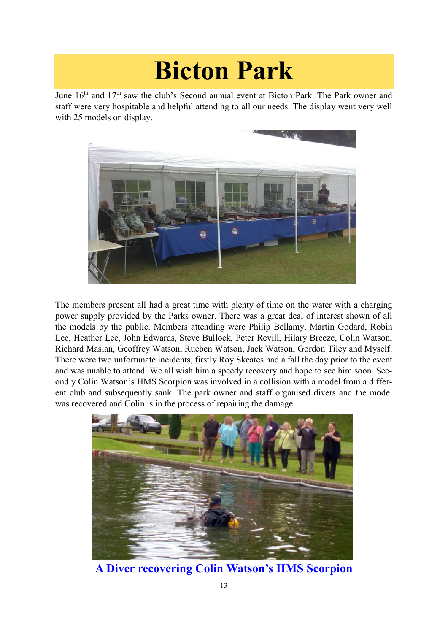## **Bicton Park**

June 16<sup>th</sup> and 17<sup>th</sup> saw the club's Second annual event at Bicton Park. The Park owner and staff were very hospitable and helpful attending to all our needs. The display went very well with 25 models on display.



The members present all had a great time with plenty of time on the water with a charging power supply provided by the Parks owner. There was a great deal of interest shown of all the models by the public. Members attending were Philip Bellamy, Martin Godard, Robin Lee, Heather Lee, John Edwards, Steve Bullock, Peter Revill, Hilary Breeze, Colin Watson, Richard Maslan, Geoffrey Watson, Rueben Watson, Jack Watson, Gordon Tiley and Myself. There were two unfortunate incidents, firstly Roy Skeates had a fall the day prior to the event and was unable to attend. We all wish him a speedy recovery and hope to see him soon. Secondly Colin Watson's HMS Scorpion was involved in a collision with a model from a different club and subsequently sank. The park owner and staff organised divers and the model was recovered and Colin is in the process of repairing the damage.



**A Diver recovering Colin Watson's HMS Scorpion**